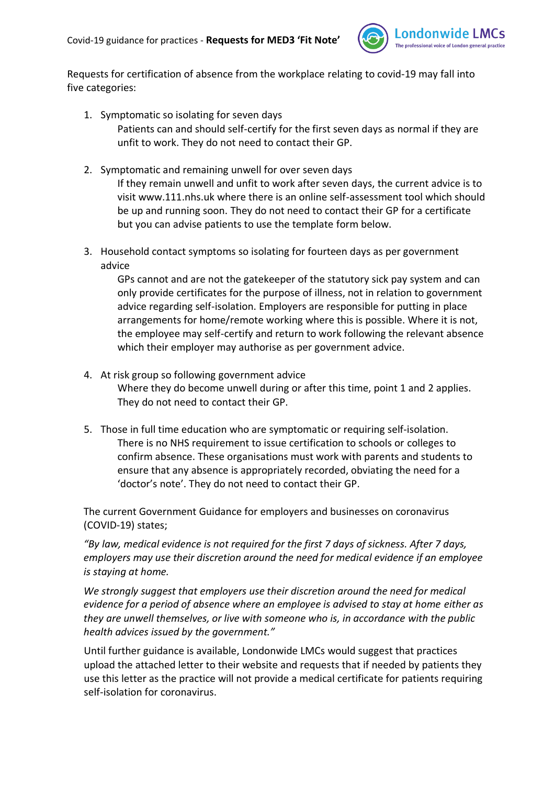

Requests for certification of absence from the workplace relating to covid-19 may fall into five categories:

- 1. Symptomatic so isolating for seven days Patients can and should self-certify for the first seven days as normal if they are unfit to work. They do not need to contact their GP.
- 2. Symptomatic and remaining unwell for over seven days If they remain unwell and unfit to work after seven days, the current advice is to visit www.111.nhs.uk where there is an online self-assessment tool which should be up and running soon. They do not need to contact their GP for a certificate but you can advise patients to use the template form below.
- 3. Household contact symptoms so isolating for fourteen days as per government advice

GPs cannot and are not the gatekeeper of the statutory sick pay system and can only provide certificates for the purpose of illness, not in relation to government advice regarding self-isolation. Employers are responsible for putting in place arrangements for home/remote working where this is possible. Where it is not, the employee may self-certify and return to work following the relevant absence which their employer may authorise as per government advice.

- 4. At risk group so following government advice Where they do become unwell during or after this time, point 1 and 2 applies. They do not need to contact their GP.
- 5. Those in full time education who are symptomatic or requiring self-isolation. There is no NHS requirement to issue certification to schools or colleges to confirm absence. These organisations must work with parents and students to ensure that any absence is appropriately recorded, obviating the need for a 'doctor's note'. They do not need to contact their GP.

The current Government Guidance for employers and businesses on coronavirus (COVID-19) states;

*"By law, medical evidence is not required for the first 7 days of sickness. After 7 days, employers may use their discretion around the need for medical evidence if an employee is staying at home.*

*We strongly suggest that employers use their discretion around the need for medical evidence for a period of absence where an employee is advised to stay at home either as they are unwell themselves, or live with someone who is, in accordance with the public health advices issued by the government."*

Until further guidance is available, Londonwide LMCs would suggest that practices upload the attached letter to their website and requests that if needed by patients they use this letter as the practice will not provide a medical certificate for patients requiring self-isolation for coronavirus.